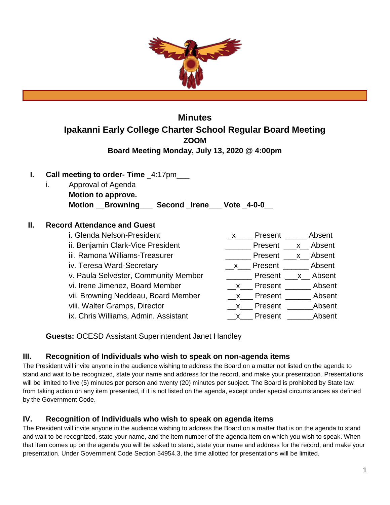

# **Minutes Ipakanni Early College Charter School Regular Board Meeting ZOOM Board Meeting Monday, July 13, 2020 @ 4:00pm**

## **I. Call meeting to order- Time** \_4:17pm\_\_\_

i. Approval of Agenda **Motion to approve. Motion \_\_Browning\_\_\_ Second \_Irene\_\_\_ Vote \_4-0-0\_\_**

#### **II. Record Attendance and Guest**

| i. Glenda Nelson-President           | Present ______ Absent          |
|--------------------------------------|--------------------------------|
| ii. Benjamin Clark-Vice President    | <b>No. 1. Present</b> X Absent |
| iii. Ramona Williams-Treasurer       | <b>Present</b> x Absent        |
| iv. Teresa Ward-Secretary            | x Present Absent               |
| v. Paula Selvester, Community Member | <b>Present</b> x Absent        |
| vi. Irene Jimenez, Board Member      | x Present Absent               |
| vii. Browning Neddeau, Board Member  | x Present Absent               |
| viii. Walter Gramps, Director        | x Present Absent               |
| ix. Chris Williams, Admin. Assistant | x Present Absent               |
|                                      |                                |

**Guests:** OCESD Assistant Superintendent Janet Handley

## **III. Recognition of Individuals who wish to speak on non-agenda items**

The President will invite anyone in the audience wishing to address the Board on a matter not listed on the agenda to stand and wait to be recognized, state your name and address for the record, and make your presentation. Presentations will be limited to five (5) minutes per person and twenty (20) minutes per subject. The Board is prohibited by State law from taking action on any item presented, if it is not listed on the agenda, except under special circumstances as defined by the Government Code.

#### **IV. Recognition of Individuals who wish to speak on agenda items**

The President will invite anyone in the audience wishing to address the Board on a matter that is on the agenda to stand and wait to be recognized, state your name, and the item number of the agenda item on which you wish to speak. When that item comes up on the agenda you will be asked to stand, state your name and address for the record, and make your presentation. Under Government Code Section 54954.3, the time allotted for presentations will be limited.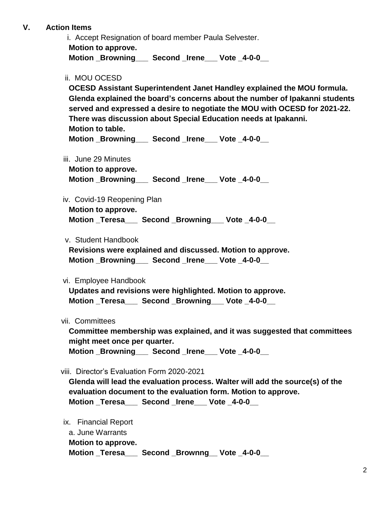### **V. Action Items**

i. Accept Resignation of board member Paula Selvester. **Motion to approve. Motion \_Browning\_\_\_ Second \_Irene\_\_\_ Vote \_4-0-0\_\_**

ii. MOU OCESD

**OCESD Assistant Superintendent Janet Handley explained the MOU formula. Glenda explained the board's concerns about the number of Ipakanni students served and expressed a desire to negotiate the MOU with OCESD for 2021-22. There was discussion about Special Education needs at Ipakanni. Motion to table.**

Motion Browning **Second Irene** Vote 4-0-0

iii. June 29 Minutes

**Motion to approve.**

**Motion \_Browning\_\_\_ Second \_Irene\_\_\_ Vote \_4-0-0\_\_**

iv. Covid-19 Reopening Plan

**Motion to approve. Motion \_Teresa\_\_\_ Second \_Browning\_\_\_ Vote \_4-0-0\_\_**

v. Student Handbook

**Revisions were explained and discussed. Motion to approve. Motion \_Browning\_\_\_ Second \_Irene\_\_\_ Vote \_4-0-0\_\_**

vi. Employee Handbook

**Updates and revisions were highlighted. Motion to approve.** Motion Teresa Second Browning Vote 4-0-0

vii. Committees

**Committee membership was explained, and it was suggested that committees might meet once per quarter.** 

Motion Browning Second Irene Vote 4-0-0

viii. Director's Evaluation Form 2020-2021

**Glenda will lead the evaluation process. Walter will add the source(s) of the evaluation document to the evaluation form. Motion to approve. Motion \_Teresa\_\_\_ Second \_Irene\_\_\_ Vote \_4-0-0\_\_**

 ix. Financial Report a. June Warrants **Motion to approve. Motion \_Teresa\_\_\_ Second \_Brownng\_\_ Vote \_4-0-0\_\_**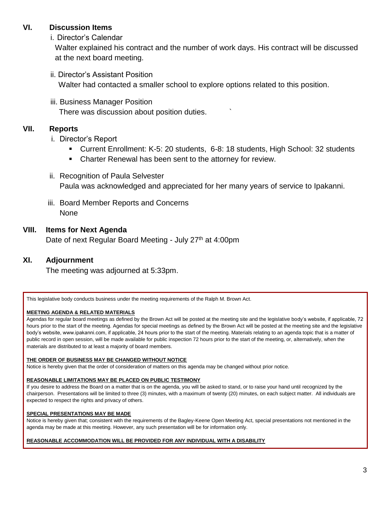### **VI. Discussion Items**

i. Director's Calendar

Walter explained his contract and the number of work days. His contract will be discussed at the next board meeting.

- ii. Director's Assistant Position Walter had contacted a smaller school to explore options related to this position.
- iii. Business Manager Position

There was discussion about position duties. `

## **VII. Reports**

- i. Director's Report
	- Current Enrollment: K-5: 20 students, 6-8: 18 students, High School: 32 students
	- Charter Renewal has been sent to the attorney for review.
- ii. Recognition of Paula Selvester Paula was acknowledged and appreciated for her many years of service to Ipakanni.
- iii. Board Member Reports and Concerns None

#### **VIII. Items for Next Agenda**

Date of next Regular Board Meeting - July 27<sup>th</sup> at 4:00pm

## **XI. Adjournment**

The meeting was adjourned at 5:33pm.

This legislative body conducts business under the meeting requirements of the Ralph M. Brown Act.

#### **MEETING AGENDA & RELATED MATERIALS**

Agendas for regular board meetings as defined by the Brown Act will be posted at the meeting site and the legislative body's website, if applicable, 72 hours prior to the start of the meeting. Agendas for special meetings as defined by the Brown Act will be posted at the meeting site and the legislative body's website, www.ipakanni.com, if applicable, 24 hours prior to the start of the meeting. Materials relating to an agenda topic that is a matter of public record in open session, will be made available for public inspection 72 hours prior to the start of the meeting, or, alternatively, when the materials are distributed to at least a majority of board members.

#### **THE ORDER OF BUSINESS MAY BE CHANGED WITHOUT NOTICE**

Notice is hereby given that the order of consideration of matters on this agenda may be changed without prior notice.

#### **REASONABLE LIMITATIONS MAY BE PLACED ON PUBLIC TESTIMONY**

If you desire to address the Board on a matter that is on the agenda, you will be asked to stand, or to raise your hand until recognized by the chairperson. Presentations will be limited to three (3) minutes, with a maximum of twenty (20) minutes, on each subject matter. All individuals are expected to respect the rights and privacy of others.

#### **SPECIAL PRESENTATIONS MAY BE MADE**

Notice is hereby given that; consistent with the requirements of the Bagley-Keene Open Meeting Act, special presentations not mentioned in the agenda may be made at this meeting. However, any such presentation will be for information only.

#### **REASONABLE ACCOMMODATION WILL BE PROVIDED FOR ANY INDIVIDUAL WITH A DISABILITY**